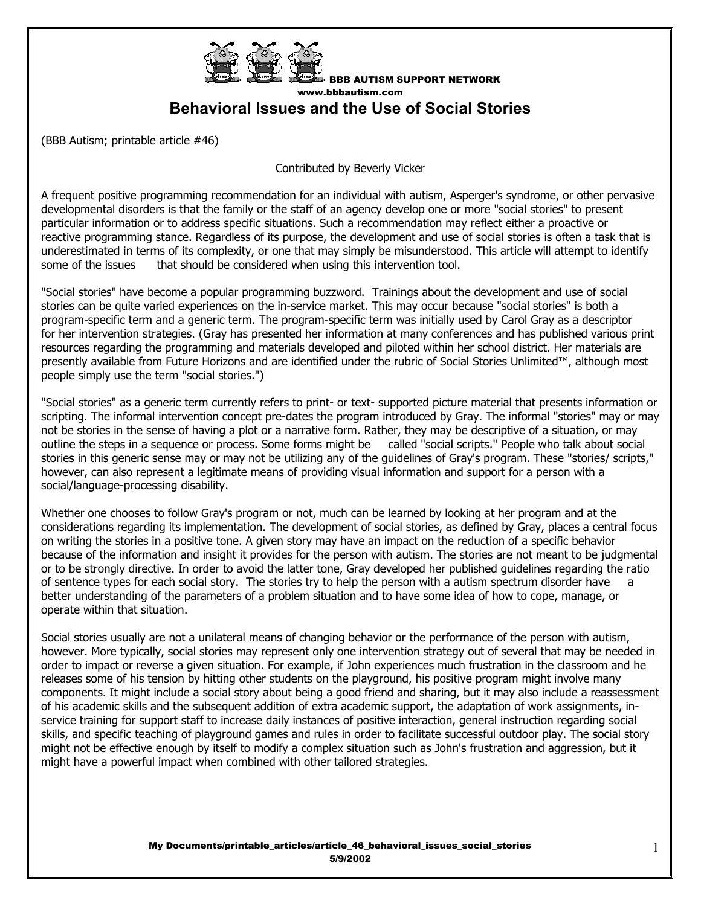

BBB AUTISM SUPPORT NETWORK www.bbbautism.com **Behavioral Issues and the Use of Social Stories** 

(BBB Autism; printable article #46)

Contributed by Beverly Vicker

A frequent positive programming recommendation for an individual with autism, Asperger's syndrome, or other pervasive developmental disorders is that the family or the staff of an agency develop one or more "social stories" to present particular information or to address specific situations. Such a recommendation may reflect either a proactive or reactive programming stance. Regardless of its purpose, the development and use of social stories is often a task that is underestimated in terms of its complexity, or one that may simply be misunderstood. This article will attempt to identify some of the issues that should be considered when using this intervention tool.

"Social stories" have become a popular programming buzzword. Trainings about the development and use of social stories can be quite varied experiences on the in-service market. This may occur because "social stories" is both a program-specific term and a generic term. The program-specific term was initially used by Carol Gray as a descriptor for her intervention strategies. (Gray has presented her information at many conferences and has published various print resources regarding the programming and materials developed and piloted within her school district. Her materials are presently available from Future Horizons and are identified under the rubric of Social Stories Unlimited™, although most people simply use the term "social stories.")

"Social stories" as a generic term currently refers to print- or text- supported picture material that presents information or scripting. The informal intervention concept pre-dates the program introduced by Gray. The informal "stories" may or may not be stories in the sense of having a plot or a narrative form. Rather, they may be descriptive of a situation, or may outline the steps in a sequence or process. Some forms might be called "social scripts." People who talk about social stories in this generic sense may or may not be utilizing any of the guidelines of Gray's program. These "stories/ scripts," however, can also represent a legitimate means of providing visual information and support for a person with a social/language-processing disability.

Whether one chooses to follow Gray's program or not, much can be learned by looking at her program and at the considerations regarding its implementation. The development of social stories, as defined by Gray, places a central focus on writing the stories in a positive tone. A given story may have an impact on the reduction of a specific behavior because of the information and insight it provides for the person with autism. The stories are not meant to be judgmental or to be strongly directive. In order to avoid the latter tone, Gray developed her published guidelines regarding the ratio of sentence types for each social story. The stories try to help the person with a autism spectrum disorder have a better understanding of the parameters of a problem situation and to have some idea of how to cope, manage, or operate within that situation.

Social stories usually are not a unilateral means of changing behavior or the performance of the person with autism, however. More typically, social stories may represent only one intervention strategy out of several that may be needed in order to impact or reverse a given situation. For example, if John experiences much frustration in the classroom and he releases some of his tension by hitting other students on the playground, his positive program might involve many components. It might include a social story about being a good friend and sharing, but it may also include a reassessment of his academic skills and the subsequent addition of extra academic support, the adaptation of work assignments, inservice training for support staff to increase daily instances of positive interaction, general instruction regarding social skills, and specific teaching of playground games and rules in order to facilitate successful outdoor play. The social story might not be effective enough by itself to modify a complex situation such as John's frustration and aggression, but it might have a powerful impact when combined with other tailored strategies.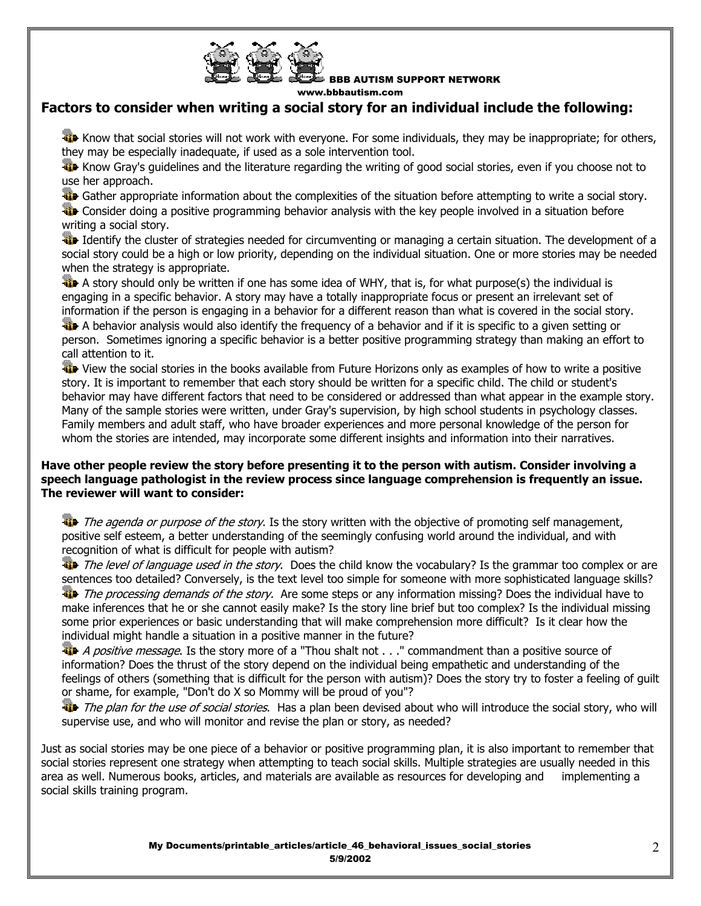

BBB AUTISM SUPPORT NETWORK

www.bbbautism.com

# **Factors to consider when writing a social story for an individual include the following:**

The Know that social stories will not work with everyone. For some individuals, they may be inappropriate; for others, they may be especially inadequate, if used as a sole intervention tool.

**KiD** Know Gray's guidelines and the literature regarding the writing of good social stories, even if you choose not to use her approach.

**Gather appropriate information about the complexities of the situation before attempting to write a social story.** 

**The** Consider doing a positive programming behavior analysis with the key people involved in a situation before writing a social story.

Identify the cluster of strategies needed for circumventing or managing a certain situation. The development of a social story could be a high or low priority, depending on the individual situation. One or more stories may be needed when the strategy is appropriate.

A story should only be written if one has some idea of WHY, that is, for what purpose(s) the individual is engaging in a specific behavior. A story may have a totally inappropriate focus or present an irrelevant set of information if the person is engaging in a behavior for a different reason than what is covered in the social story.

A behavior analysis would also identify the frequency of a behavior and if it is specific to a given setting or person. Sometimes ignoring a specific behavior is a better positive programming strategy than making an effort to call attention to it.

 View the social stories in the books available from Future Horizons only as examples of how to write a positive story. It is important to remember that each story should be written for a specific child. The child or student's behavior may have different factors that need to be considered or addressed than what appear in the example story. Many of the sample stories were written, under Gray's supervision, by high school students in psychology classes. Family members and adult staff, who have broader experiences and more personal knowledge of the person for whom the stories are intended, may incorporate some different insights and information into their narratives.

### **Have other people review the story before presenting it to the person with autism. Consider involving a speech language pathologist in the review process since language comprehension is frequently an issue. The reviewer will want to consider:**

The agenda or purpose of the story. Is the story written with the objective of promoting self management, positive self esteem, a better understanding of the seemingly confusing world around the individual, and with recognition of what is difficult for people with autism?

The level of language used in the story. Does the child know the vocabulary? Is the grammar too complex or are sentences too detailed? Conversely, is the text level too simple for someone with more sophisticated language skills? The processing demands of the story. Are some steps or any information missing? Does the individual have to make inferences that he or she cannot easily make? Is the story line brief but too complex? Is the individual missing some prior experiences or basic understanding that will make comprehension more difficult? Is it clear how the individual might handle a situation in a positive manner in the future?

**A** positive message. Is the story more of a "Thou shalt not . . ." commandment than a positive source of information? Does the thrust of the story depend on the individual being empathetic and understanding of the feelings of others (something that is difficult for the person with autism)? Does the story try to foster a feeling of guilt or shame, for example, "Don't do X so Mommy will be proud of you"?

The plan for the use of social stories. Has a plan been devised about who will introduce the social story, who will supervise use, and who will monitor and revise the plan or story, as needed?

Just as social stories may be one piece of a behavior or positive programming plan, it is also important to remember that social stories represent one strategy when attempting to teach social skills. Multiple strategies are usually needed in this area as well. Numerous books, articles, and materials are available as resources for developing and implementing a social skills training program.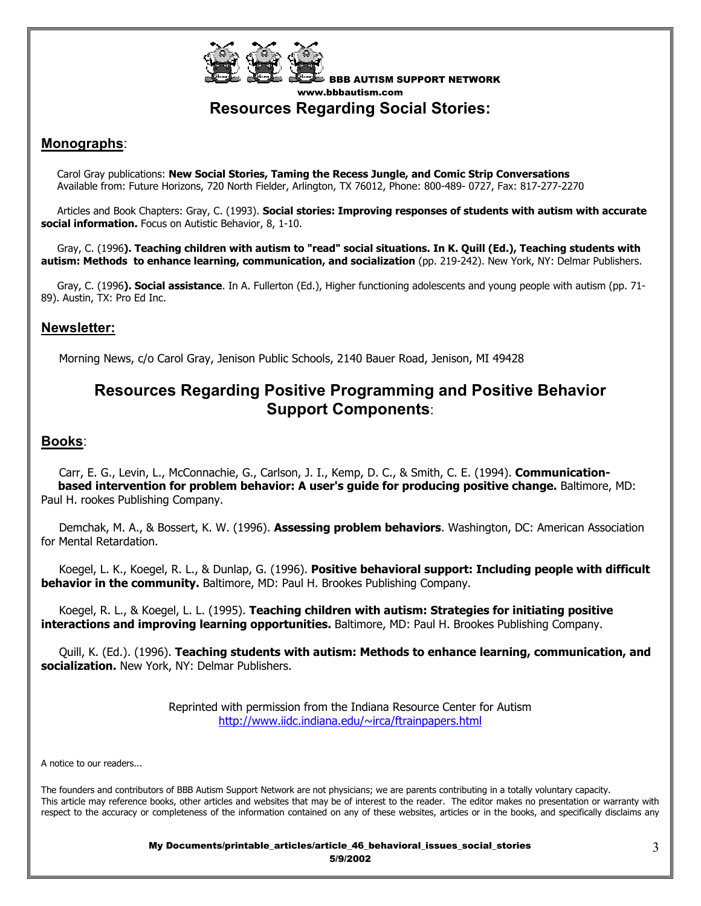

BBB AUTISM SUPPORT NETWORK www.bbbautism.com **Resources Regarding Social Stories:** 

# **Monographs**:

 Carol Gray publications: **New Social Stories, Taming the Recess Jungle, and Comic Strip Conversations** Available from: Future Horizons, 720 North Fielder, Arlington, TX 76012, Phone: 800-489- 0727, Fax: 817-277-2270

 Articles and Book Chapters: Gray, C. (1993). **Social stories: Improving responses of students with autism with accurate social information.** Focus on Autistic Behavior, 8, 1-10.

 Gray, C. (1996**). Teaching children with autism to "read" social situations. In K. Quill (Ed.), Teaching students with autism: Methods to enhance learning, communication, and socialization** (pp. 219-242). New York, NY: Delmar Publishers.

 Gray, C. (1996**). Social assistance**. In A. Fullerton (Ed.), Higher functioning adolescents and young people with autism (pp. 71- 89). Austin, TX: Pro Ed Inc.

## **Newsletter:**

Morning News, c/o Carol Gray, Jenison Public Schools, 2140 Bauer Road, Jenison, MI 49428

# **Resources Regarding Positive Programming and Positive Behavior Support Components**:

## **Books**:

 Carr, E. G., Levin, L., McConnachie, G., Carlson, J. I., Kemp, D. C., & Smith, C. E. (1994). **Communication based intervention for problem behavior: A user's guide for producing positive change.** Baltimore, MD: Paul H. rookes Publishing Company.

 Demchak, M. A., & Bossert, K. W. (1996). **Assessing problem behaviors**. Washington, DC: American Association for Mental Retardation.

 Koegel, L. K., Koegel, R. L., & Dunlap, G. (1996). **Positive behavioral support: Including people with difficult behavior in the community.** Baltimore, MD: Paul H. Brookes Publishing Company.

 Koegel, R. L., & Koegel, L. L. (1995). **Teaching children with autism: Strategies for initiating positive interactions and improving learning opportunities.** Baltimore, MD: Paul H. Brookes Publishing Company.

 Quill, K. (Ed.). (1996). **Teaching students with autism: Methods to enhance learning, communication, and socialization.** New York, NY: Delmar Publishers.

> Reprinted with permission from the Indiana Resource Center for Autism http://www.iidc.indiana.edu/~irca/ftrainpapers.html

A notice to our readers...

The founders and contributors of BBB Autism Support Network are not physicians; we are parents contributing in a totally voluntary capacity. This article may reference books, other articles and websites that may be of interest to the reader. The editor makes no presentation or warranty with respect to the accuracy or completeness of the information contained on any of these websites, articles or in the books, and specifically disclaims any

> My Documents/printable\_articles/article\_46\_behavioral\_issues\_social\_stories 5/9/2002